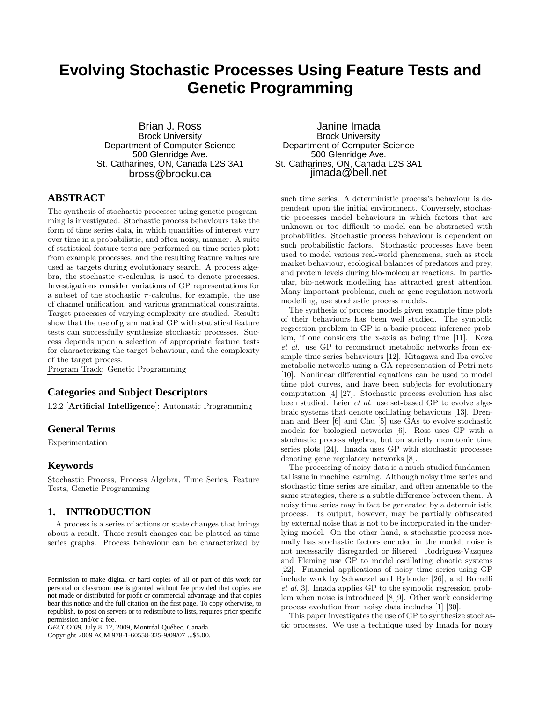# **Evolving Stochastic Processes Using Feature Tests and Genetic Programming**

Brian J. Ross Brock University Department of Computer Science 500 Glenridge Ave. St. Catharines, ON, Canada L2S 3A1 bross@brocku.ca

# **ABSTRACT**

The synthesis of stochastic processes using genetic programming is investigated. Stochastic process behaviours take the form of time series data, in which quantities of interest vary over time in a probabilistic, and often noisy, manner. A suite of statistical feature tests are performed on time series plots from example processes, and the resulting feature values are used as targets during evolutionary search. A process algebra, the stochastic  $\pi$ -calculus, is used to denote processes. Investigations consider variations of GP representations for a subset of the stochastic  $\pi$ -calculus, for example, the use of channel unification, and various grammatical constraints. Target processes of varying complexity are studied. Results show that the use of grammatical GP with statistical feature tests can successfully synthesize stochastic processes. Success depends upon a selection of appropriate feature tests for characterizing the target behaviour, and the complexity of the target process.

Program Track: Genetic Programming

# **Categories and Subject Descriptors**

I.2.2 [**Artificial Intelligence**]: Automatic Programming

## **General Terms**

Experimentation

## **Keywords**

Stochastic Process, Process Algebra, Time Series, Feature Tests, Genetic Programming

## **1. INTRODUCTION**

A process is a series of actions or state changes that brings about a result. These result changes can be plotted as time series graphs. Process behaviour can be characterized by

Copyright 2009 ACM 978-1-60558-325-9/09/07 ...\$5.00.

Janine Imada Brock University Department of Computer Science 500 Glenridge Ave. St. Catharines, ON, Canada L2S 3A1 jimada@bell.net

such time series. A deterministic process's behaviour is dependent upon the initial environment. Conversely, stochastic processes model behaviours in which factors that are unknown or too difficult to model can be abstracted with probabilities. Stochastic process behaviour is dependent on such probabilistic factors. Stochastic processes have been used to model various real-world phenomena, such as stock market behaviour, ecological balances of predators and prey, and protein levels during bio-molecular reactions. In particular, bio-network modelling has attracted great attention. Many important problems, such as gene regulation network modelling, use stochastic process models.

The synthesis of process models given example time plots of their behaviours has been well studied. The symbolic regression problem in GP is a basic process inference problem, if one considers the x-axis as being time [11]. Koza *et al.* use GP to reconstruct metabolic networks from example time series behaviours [12]. Kitagawa and Iba evolve metabolic networks using a GA representation of Petri nets [10]. Nonlinear differential equations can be used to model time plot curves, and have been subjects for evolutionary computation [4] [27]. Stochastic process evolution has also been studied. Leier *et al.* use set-based GP to evolve algebraic systems that denote oscillating behaviours [13]. Drennan and Beer [6] and Chu [5] use GAs to evolve stochastic models for biological networks [6]. Ross uses GP with a stochastic process algebra, but on strictly monotonic time series plots [24]. Imada uses GP with stochastic processes denoting gene regulatory networks [8].

The processing of noisy data is a much-studied fundamental issue in machine learning. Although noisy time series and stochastic time series are similar, and often amenable to the same strategies, there is a subtle difference between them. A noisy time series may in fact be generated by a deterministic process. Its output, however, may be partially obfuscated by external noise that is not to be incorporated in the underlying model. On the other hand, a stochastic process normally has stochastic factors encoded in the model; noise is not necessarily disregarded or filtered. Rodriguez-Vazquez and Fleming use GP to model oscillating chaotic systems [22]. Financial applications of noisy time series using GP include work by Schwarzel and Bylander [26], and Borrelli *et al.*[3]. Imada applies GP to the symbolic regression problem when noise is introduced [8][9]. Other work considering process evolution from noisy data includes [1] [30].

This paper investigates the use of GP to synthesize stochastic processes. We use a technique used by Imada for noisy

Permission to make digital or hard copies of all or part of this work for personal or classroom use is granted without fee provided that copies are not made or distributed for profit or commercial advantage and that copies bear this notice and the full citation on the first page. To copy otherwise, to republish, to post on servers or to redistribute to lists, requires prior specific permission and/or a fee.

*GECCO'09,* July 8–12, 2009, Montréal Québec, Canada.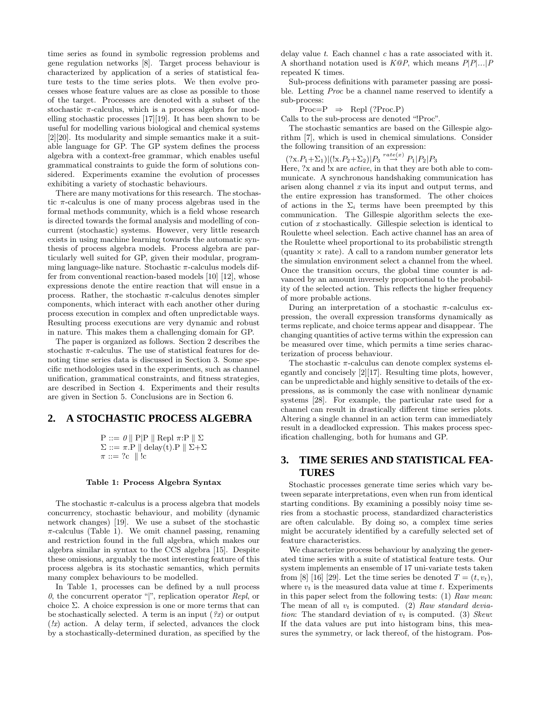time series as found in symbolic regression problems and gene regulation networks [8]. Target process behaviour is characterized by application of a series of statistical feature tests to the time series plots. We then evolve processes whose feature values are as close as possible to those of the target. Processes are denoted with a subset of the stochastic  $\pi$ -calculus, which is a process algebra for modelling stochastic processes [17][19]. It has been shown to be useful for modelling various biological and chemical systems [2][20]. Its modularity and simple semantics make it a suitable language for GP. The GP system defines the process algebra with a context-free grammar, which enables useful grammatical constraints to guide the form of solutions considered. Experiments examine the evolution of processes exhibiting a variety of stochastic behaviours.

There are many motivations for this research. The stochastic  $\pi$ -calculus is one of many process algebras used in the formal methods community, which is a field whose research is directed towards the formal analysis and modelling of concurrent (stochastic) systems. However, very little research exists in using machine learning towards the automatic synthesis of process algebra models. Process algebra are particularly well suited for GP, given their modular, programming language-like nature. Stochastic  $\pi$ -calculus models differ from conventional reaction-based models [10] [12], whose expressions denote the entire reaction that will ensue in a process. Rather, the stochastic  $\pi$ -calculus denotes simpler components, which interact with each another other during process execution in complex and often unpredictable ways. Resulting process executions are very dynamic and robust in nature. This makes them a challenging domain for GP.

The paper is organized as follows. Section 2 describes the stochastic  $\pi$ -calculus. The use of statistical features for denoting time series data is discussed in Section 3. Some specific methodologies used in the experiments, such as channel unification, grammatical constraints, and fitness strategies, are described in Section 4. Experiments and their results are given in Section 5. Conclusions are in Section 6.

## **2. A STOCHASTIC PROCESS ALGEBRA**

$$
\begin{aligned} \mathbf{P} &::=\theta \parallel \mathbf{P}|\mathbf{P} \parallel \text{Repl } \pi \cdot \mathbf{P} \parallel \Sigma\\ \Sigma &::=\pi.\mathbf{P} \parallel \text{delay}(t).\mathbf{P} \parallel \Sigma + \Sigma\\ \pi &::=\text{?c} \parallel !c \end{aligned}
$$

#### **Table 1: Process Algebra Syntax**

The stochastic  $\pi$ -calculus is a process algebra that models concurrency, stochastic behaviour, and mobility (dynamic network changes) [19]. We use a subset of the stochastic  $\pi$ -calculus (Table 1). We omit channel passing, renaming and restriction found in the full algebra, which makes our algebra similar in syntax to the CCS algebra [15]. Despite these omissions, arguably the most interesting feature of this process algebra is its stochastic semantics, which permits many complex behaviours to be modelled.

In Table 1, processes can be defined by a null process *0*, the concurrent operator "|", replication operator *Repl*, or choice  $\Sigma$ . A choice expression is one or more terms that can be stochastically selected. A term is an input (*?x*) or output (*!x*) action. A delay term, if selected, advances the clock by a stochastically-determined duration, as specified by the delay value *t*. Each channel *c* has a rate associated with it. A shorthand notation used is *K@P*, which means *P*|*P*|*...*|*P* repeated K times.

Sub-process definitions with parameter passing are possible. Letting *Proc* be a channel name reserved to identify a sub-process:

 $Proc= P \Rightarrow Repl (?Proc.P)$ 

Calls to the sub-process are denoted "!Proc".

The stochastic semantics are based on the Gillespie algorithm [7], which is used in chemical simulations. Consider the following transition of an expression:

 $(?x.P_1+\Sigma_1)| (x.P_2+\Sigma_2)|P_3 \stackrel{rate(x)}{\rightarrow} P_1|P_2|P_3$ 

Here, ?x and !x are *active*, in that they are both able to communicate. A synchronous handshaking communication has arisen along channel *x* via its input and output terms, and the entire expression has transformed. The other choices of actions in the  $\Sigma_i$  terms have been preempted by this communication. The Gillespie algorithm selects the execution of *x* stochastically. Gillespie selection is identical to Roulette wheel selection. Each active channel has an area of the Roulette wheel proportional to its probabilistic strength (quantity  $\times$  rate). A call to a random number generator lets the simulation environment select a channel from the wheel. Once the transition occurs, the global time counter is advanced by an amount inversely proportional to the probability of the selected action. This reflects the higher frequency of more probable actions.

During an interpretation of a stochastic  $\pi$ -calculus expression, the overall expression transforms dynamically as terms replicate, and choice terms appear and disappear. The changing quantities of active terms within the expression can be measured over time, which permits a time series characterization of process behaviour.

The stochastic  $\pi$ -calculus can denote complex systems elegantly and concisely [2][17]. Resulting time plots, however, can be unpredictable and highly sensitive to details of the expressions, as is commonly the case with nonlinear dynamic systems [28]. For example, the particular rate used for a channel can result in drastically different time series plots. Altering a single channel in an action term can immediately result in a deadlocked expression. This makes process specification challenging, both for humans and GP.

# **3. TIME SERIES AND STATISTICAL FEA-TURES**

Stochastic processes generate time series which vary between separate interpretations, even when run from identical starting conditions. By examining a possibly noisy time series from a stochastic process, standardized characteristics are often calculable. By doing so, a complex time series might be accurately identified by a carefully selected set of feature characteristics.

We characterize process behaviour by analyzing the generated time series with a suite of statistical feature tests. Our system implements an ensemble of 17 uni-variate tests taken from [8] [16] [29]. Let the time series be denoted  $T = (t, v_t)$ , where  $v_t$  is the measured data value at time  $t$ . Experiments in this paper select from the following tests: (1) *Raw mean*: The mean of all v*<sup>t</sup>* is computed. (2) *Raw standard deviation*: The standard deviation of v*<sup>t</sup>* is computed. (3) *Skew*: If the data values are put into histogram bins, this measures the symmetry, or lack thereof, of the histogram. Pos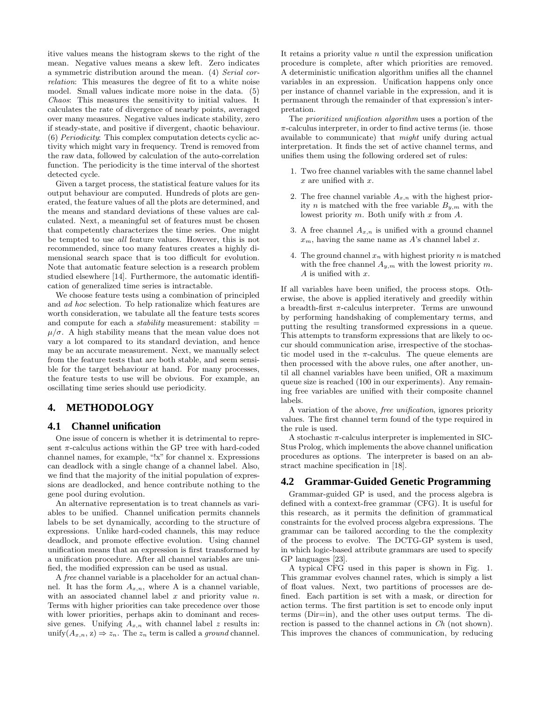itive values means the histogram skews to the right of the mean. Negative values means a skew left. Zero indicates a symmetric distribution around the mean. (4) *Serial correlation*: This measures the degree of fit to a white noise model. Small values indicate more noise in the data. (5) *Chaos*: This measures the sensitivity to initial values. It calculates the rate of divergence of nearby points, averaged over many measures. Negative values indicate stability, zero if steady-state, and positive if divergent, chaotic behaviour. (6) *Periodicity*: This complex computation detects cyclic activity which might vary in frequency. Trend is removed from the raw data, followed by calculation of the auto-correlation function. The periodicity is the time interval of the shortest detected cycle.

Given a target process, the statistical feature values for its output behaviour are computed. Hundreds of plots are generated, the feature values of all the plots are determined, and the means and standard deviations of these values are calculated. Next, a meaningful set of features must be chosen that competently characterizes the time series. One might be tempted to use *all* feature values. However, this is not recommended, since too many features creates a highly dimensional search space that is too difficult for evolution. Note that automatic feature selection is a research problem studied elsewhere [14]. Furthermore, the automatic identification of generalized time series is intractable.

We choose feature tests using a combination of principled and *ad hoc* selection. To help rationalize which features are worth consideration, we tabulate all the feature tests scores and compute for each a *stability* measurement: stability =  $\mu/\sigma$ . A high stability means that the mean value does not vary a lot compared to its standard deviation, and hence may be an accurate measurement. Next, we manually select from the feature tests that are both stable, and seem sensible for the target behaviour at hand. For many processes, the feature tests to use will be obvious. For example, an oscillating time series should use periodicity.

# **4. METHODOLOGY**

## **4.1 Channel unification**

One issue of concern is whether it is detrimental to represent  $\pi$ -calculus actions within the GP tree with hard-coded channel names, for example, "!x" for channel x. Expressions can deadlock with a single change of a channel label. Also, we find that the majority of the initial population of expressions are deadlocked, and hence contribute nothing to the gene pool during evolution.

An alternative representation is to treat channels as variables to be unified. Channel unification permits channels labels to be set dynamically, according to the structure of expressions. Unlike hard-coded channels, this may reduce deadlock, and promote effective evolution. Using channel unification means that an expression is first transformed by a unification procedure. After all channel variables are unified, the modified expression can be used as usual.

A *free* channel variable is a placeholder for an actual channel. It has the form  $A_{x,n}$ , where A is a channel variable, with an associated channel label  $x$  and priority value  $n$ . Terms with higher priorities can take precedence over those with lower priorities, perhaps akin to dominant and recessive genes. Unifying  $A_{x,n}$  with channel label z results in: unify $(A_{x,n}, z) \Rightarrow z_n$ . The  $z_n$  term is called a *ground* channel. It retains a priority value  $n$  until the expression unification procedure is complete, after which priorities are removed. A deterministic unification algorithm unifies all the channel variables in an expression. Unification happens only once per instance of channel variable in the expression, and it is permanent through the remainder of that expression's interpretation.

The *prioritized unification algorithm* uses a portion of the  $\pi$ -calculus interpreter, in order to find active terms (ie. those available to communicate) that *might* unify during actual interpretation. It finds the set of active channel terms, and unifies them using the following ordered set of rules:

- 1. Two free channel variables with the same channel label  $x$  are unified with  $x$ .
- 2. The free channel variable  $A_{x,n}$  with the highest priority *n* is matched with the free variable  $B_{y,m}$  with the lowest priority  $m$ . Both unify with  $x$  from  $A$ .
- 3. A free channel  $A_{x,n}$  is unified with a ground channel  $x_m$ , having the same name as  $A$ 's channel label  $x$ .
- 4. The ground channel  $x_n$  with highest priority n is matched with the free channel  $A_{v,m}$  with the lowest priority m. A is unified with x.

If all variables have been unified, the process stops. Otherwise, the above is applied iteratively and greedily within a breadth-first  $\pi$ -calculus interpreter. Terms are unwound by performing handshaking of complementary terms, and putting the resulting transformed expressions in a queue. This attempts to transform expressions that are likely to occur should communication arise, irrespective of the stochastic model used in the  $\pi$ -calculus. The queue elements are then processed with the above rules, one after another, until all channel variables have been unified, OR a maximum queue size is reached (100 in our experiments). Any remaining free variables are unified with their composite channel labels.

A variation of the above, *free unification*, ignores priority values. The first channel term found of the type required in the rule is used.

A stochastic  $\pi$ -calculus interpreter is implemented in SIC-Stus Prolog, which implements the above channel unification procedures as options. The interpreter is based on an abstract machine specification in [18].

## **4.2 Grammar-Guided Genetic Programming**

Grammar-guided GP is used, and the process algebra is defined with a context-free grammar (CFG). It is useful for this research, as it permits the definition of grammatical constraints for the evolved process algebra expressions. The grammar can be tailored according to the the complexity of the process to evolve. The DCTG-GP system is used, in which logic-based attribute grammars are used to specify GP languages [23].

A typical CFG used in this paper is shown in Fig. 1. This grammar evolves channel rates, which is simply a list of float values. Next, two partitions of processes are defined. Each partition is set with a mask, or direction for action terms. The first partition is set to encode only input terms (Dir=in), and the other uses output terms. The direction is passed to the channel actions in *Ch* (not shown). This improves the chances of communication, by reducing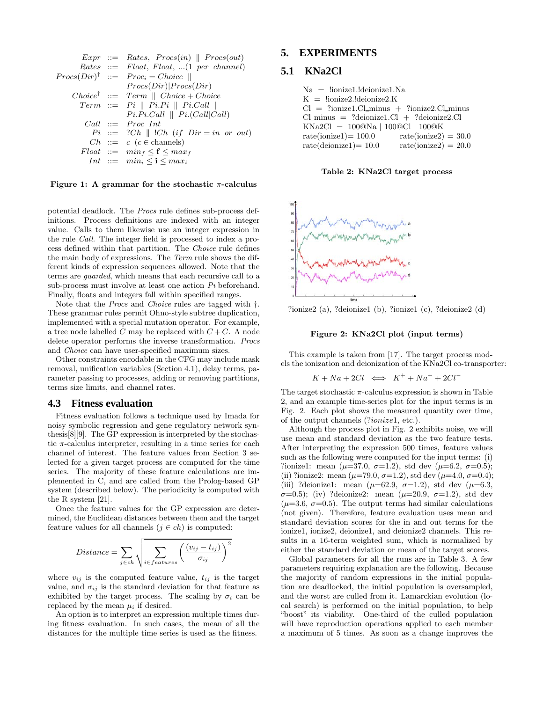Every ::= Rates, 
$$
Procs(in) \parallel Procs(out)
$$

\n Rates ::= Float, Float, ... (1 per channel)

\n $Procs(Dir)^{\dagger} ::= Procs = Choice \parallel$ 

\n $Procs(Dir) \vert Procs(Dir)$ 

\nChoice<sup>†</sup> ::= Term \parallel Choice + Choice

\nTerm ::= Pi \parallel Pi.Pi \parallel Pi.Call \parallel

\nPi.Pi.Call \parallel Pi.Call | Ci.

\nCall ::= Proc Int

\nPi ::= ?Ch \parallel !Ch (if Dir = in or out)

\nCh ::= c (c ∈ channels)

\nFloat ::= min<sub>f</sub> ≤ f ≤ max<sub>f</sub>

\nInt ::= min<sub>i</sub> ≤ i ≤ max<sub>i</sub>

**Figure 1: A grammar for the stochastic** <sup>π</sup>**-calculus**

potential deadlock. The *Procs* rule defines sub-process definitions. Process definitions are indexed with an integer value. Calls to them likewise use an integer expression in the rule *Call*. The integer field is processed to index a process defined within that partition. The *Choice* rule defines the main body of expressions. The *Term* rule shows the different kinds of expression sequences allowed. Note that the terms are *guarded*, which means that each recursive call to a sub-process must involve at least one action *Pi* beforehand. Finally, floats and integers fall within specified ranges.

Note that the *Procs* and *Choice* rules are tagged with †. These grammar rules permit Ohno-style subtree duplication, implemented with a special mutation operator. For example, a tree node labelled C may be replaced with  $C + C$ . A node delete operator performs the inverse transformation. *Procs* and *Choice* can have user-specified maximum sizes.

Other constraints encodable in the CFG may include mask removal, unification variables (Section 4.1), delay terms, parameter passing to processes, adding or removing partitions, terms size limits, and channel rates.

### **4.3 Fitness evaluation**

Fitness evaluation follows a technique used by Imada for noisy symbolic regression and gene regulatory network synthesis[8][9]. The GP expression is interpreted by the stochastic  $\pi$ -calculus interpreter, resulting in a time series for each channel of interest. The feature values from Section 3 selected for a given target process are computed for the time series. The majority of these feature calculations are implemented in C, and are called from the Prolog-based GP system (described below). The periodicity is computed with the R system [21].

Once the feature values for the GP expression are determined, the Euclidean distances between them and the target feature values for all channels  $(j \in ch)$  is computed:

$$
Distance = \sum_{j \in ch} \sqrt{\sum_{i \in features} \left( \frac{(v_{ij} - t_{ij})}{\sigma_{ij}} \right)^2}
$$

where  $v_{ij}$  is the computed feature value,  $t_{ij}$  is the target value, and  $\sigma_{ij}$  is the standard deviation for that feature as exhibited by the target process. The scaling by  $\sigma_i$  can be replaced by the mean  $\mu_i$  if desired.

An option is to interpret an expression multiple times during fitness evaluation. In such cases, the mean of all the distances for the multiple time series is used as the fitness.

## **5. EXPERIMENTS**

# **5.1 KNa2Cl**

| Na = !ionize1.!deionize1.Na                         |                        |
|-----------------------------------------------------|------------------------|
| $K =$ !ionize2.!deionize2.K                         |                        |
| $Cl = ?ionize1.C1\_minus + ?ionize2.C1\_minus$      |                        |
| $Cl\_minus = ?$ deionize $1 Cl + ?$ deionize $2 Cl$ |                        |
| $KNa2Cl = 100@Na   100@Cl   100@K$                  |                        |
| $rate(ionicel) = 100.0$                             | $rate(ionic 2) = 30.0$ |
| $rate(deionize1) = 10.0$                            | $rate(ionic 2) = 20.0$ |
|                                                     |                        |

**Table 2: KNa2Cl target process**



?ionize2 (a), ?deionize1 (b), ?ionize1 (c), ?deionize2 (d)

#### **Figure 2: KNa2Cl plot (input terms)**

This example is taken from [17]. The target process models the ionization and deionization of the KNa2Cl co-transporter:

$$
K + Na + 2Cl \iff K^+ + Na^+ + 2Cl^-
$$

The target stochastic  $\pi$ -calculus expression is shown in Table 2, and an example time-series plot for the input terms is in Fig. 2. Each plot shows the measured quantity over time, of the output channels (?ionize1, etc.).

Although the process plot in Fig. 2 exhibits noise, we will use mean and standard deviation as the two feature tests. After interpreting the expression 500 times, feature values such as the following were computed for the input terms: (i) ?ionize1: mean ( $\mu$ =37.0,  $\sigma$ =1.2), std dev ( $\mu$ =6.2,  $\sigma$ =0.5); (ii) ?ionize2: mean ( $\mu$ =79.0,  $\sigma$ =1.2), std dev ( $\mu$ =4.0,  $\sigma$ =0.4); (iii) ?deionize1: mean ( $\mu$ =62.9,  $\sigma$ =1.2), std dev ( $\mu$ =6.3,  $\sigma=0.5$ ); (iv) ?deionize2: mean ( $\mu=20.9$ ,  $\sigma=1.2$ ), std dev  $(\mu=3.6, \sigma=0.5)$ . The output terms had similar calculations (not given). Therefore, feature evaluation uses mean and standard deviation scores for the in and out terms for the ionize1, ionize2, deionize1, and deionize2 channels. This results in a 16-term weighted sum, which is normalized by either the standard deviation or mean of the target scores.

Global parameters for all the runs are in Table 3. A few parameters requiring explanation are the following. Because the majority of random expressions in the initial population are deadlocked, the initial population is oversampled, and the worst are culled from it. Lamarckian evolution (local search) is performed on the initial population, to help "boost" its viability. One-third of the culled population will have reproduction operations applied to each member a maximum of 5 times. As soon as a change improves the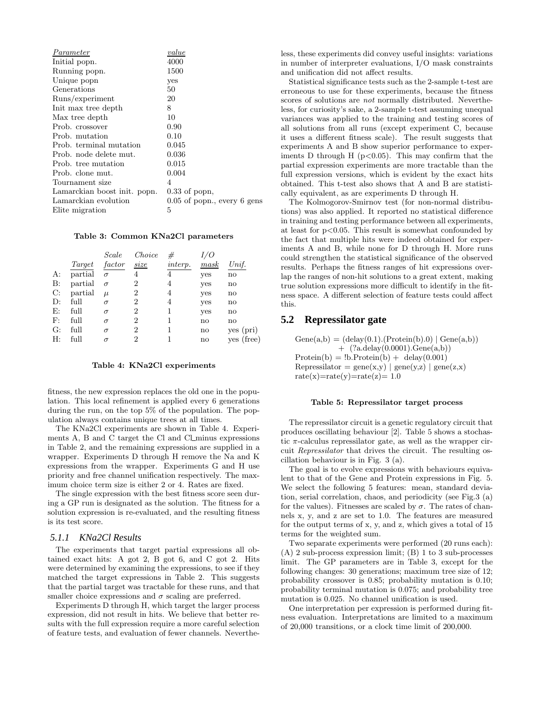| Parameter                    | value                           |
|------------------------------|---------------------------------|
| Initial popn.                | 4000                            |
| Running popn.                | 1500                            |
| Unique popn                  | yes                             |
| Generations                  | 50                              |
| Runs/experiment              | 20                              |
| Init max tree depth          | 8                               |
| Max tree depth               | 10                              |
| Prob. crossover              | 0.90                            |
| Prob. mutation               | 0.10                            |
| Prob. terminal mutation      | 0.045                           |
| Prob. node delete mut.       | 0.036                           |
| Prob. tree mutation          | 0.015                           |
| Prob. clone mut.             | 0.004                           |
| Tournament size              | 4                               |
| Lamarckian boost init. popn. | $0.33$ of popn,                 |
| Lamarckian evolution         | $0.05$ of popn., every $6$ gens |
| Elite migration              | 5                               |

# **Table 3: Common KNa2Cl parameters**

|    |         | Scale    | Choice         | #       |      |               |
|----|---------|----------|----------------|---------|------|---------------|
|    | Target  | factor   | size           | interp. | mask | Unif.         |
| A: | partial | $\sigma$ | 4              | 4       | yes  | no            |
| B: | partial | $\sigma$ | 2              | 4       | yes  | no            |
| C: | partial | $\mu$    | 2              | 4       | yes  | no            |
| D: | full    | $\sigma$ | $\overline{2}$ | 4       | yes  | no            |
| E: | full    | $\sigma$ | 2              | 1       | yes  | no            |
| F: | full    | $\sigma$ | 2              | 1       | no   | no            |
| G: | full    | $\sigma$ | $\overline{2}$ |         | no   | yes (pri)     |
| Н: | full    | $\sigma$ | $\overline{2}$ |         | no   | (free)<br>ves |

# **Table 4: KNa2Cl experiments**

fitness, the new expression replaces the old one in the population. This local refinement is applied every 6 generations during the run, on the top 5% of the population. The population always contains unique trees at all times.

The KNa2Cl experiments are shown in Table 4. Experiments A, B and C target the Cl and Cl minus expressions in Table 2, and the remaining expressions are supplied in a wrapper. Experiments D through H remove the Na and K expressions from the wrapper. Experiments G and H use priority and free channel unification respectively. The maximum choice term size is either 2 or 4. Rates are fixed.

The single expression with the best fitness score seen during a GP run is designated as the solution. The fitness for a solution expression is re-evaluated, and the resulting fitness is its test score.

### *5.1.1 KNa2Cl Results*

The experiments that target partial expressions all obtained exact hits: A got 2, B got 6, and C got 2. Hits were determined by examining the expressions, to see if they matched the target expressions in Table 2. This suggests that the partial target was tractable for these runs, and that smaller choice expressions and  $\sigma$  scaling are preferred.

Experiments D through H, which target the larger process expression, did not result in hits. We believe that better results with the full expression require a more careful selection of feature tests, and evaluation of fewer channels. Nevertheless, these experiments did convey useful insights: variations in number of interpreter evaluations, I/O mask constraints and unification did not affect results.

Statistical significance tests such as the 2-sample t-test are erroneous to use for these experiments, because the fitness scores of solutions are *not* normally distributed. Nevertheless, for curiosity's sake, a 2-sample t-test assuming unequal variances was applied to the training and testing scores of all solutions from all runs (except experiment C, because it uses a different fitness scale). The result suggests that experiments A and B show superior performance to experiments D through H  $(p<0.05)$ . This may confirm that the partial expression experiments are more tractable than the full expression versions, which is evident by the exact hits obtained. This t-test also shows that A and B are statistically equivalent, as are experiments D through H.

The Kolmogorov-Smirnov test (for non-normal distributions) was also applied. It reported no statistical difference in training and testing performance between all experiments, at least for  $p<0.05$ . This result is somewhat confounded by the fact that multiple hits were indeed obtained for experiments A and B, while none for D through H. More runs could strengthen the statistical significance of the observed results. Perhaps the fitness ranges of hit expressions overlap the ranges of non-hit solutions to a great extent, making true solution expressions more difficult to identify in the fitness space. A different selection of feature tests could affect this.

### **5.2 Repressilator gate**

 $Gene(a,b) = (delay(0.1).(Protein(b).0) | Gene(a,b))$  $+$   $(?\text{a.delay}(0.0001).\text{Gene}(a,b))$  $Protein(b) = lb. Protein(b) + delay(0.001)$ Repressilator =  $\text{gene}(x,y)$  |  $\text{gene}(y,z)$  |  $\text{gene}(z,x)$  $rate(x)=rate(y)=rate(z)=1.0$ 

# **Table 5: Repressilator target process**

The repressilator circuit is a genetic regulatory circuit that produces oscillating behaviour [2]. Table 5 shows a stochastic  $\pi$ -calculus repressilator gate, as well as the wrapper circuit *Repressilator* that drives the circuit. The resulting oscillation behaviour is in Fig. 3 (a).

The goal is to evolve expressions with behaviours equivalent to that of the Gene and Protein expressions in Fig. 5. We select the following 5 features: mean, standard deviation, serial correlation, chaos, and periodicity (see Fig.3 (a) for the values). Fitnesses are scaled by  $\sigma$ . The rates of channels x, y, and z are set to 1.0. The features are measured for the output terms of x, y, and z, which gives a total of 15 terms for the weighted sum.

Two separate experiments were performed (20 runs each): (A) 2 sub-process expression limit; (B) 1 to 3 sub-processes limit. The GP parameters are in Table 3, except for the following changes: 30 generations; maximum tree size of 12; probability crossover is 0.85; probability mutation is 0.10; probability terminal mutation is 0.075; and probability tree mutation is 0.025. No channel unification is used.

One interpretation per expression is performed during fitness evaluation. Interpretations are limited to a maximum of 20,000 transitions, or a clock time limit of 200,000.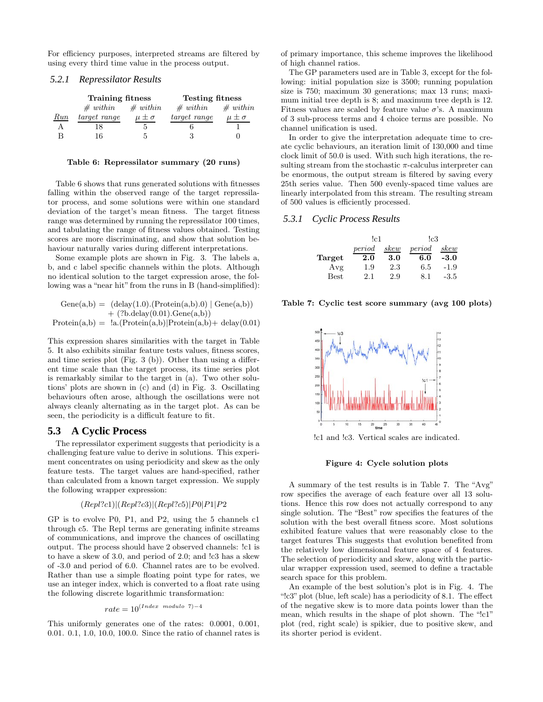For efficiency purposes, interpreted streams are filtered by using every third time value in the process output.

### *5.2.1 Repressilator Results*

|          | <b>Training fitness</b> |                  | <b>Testing fitness</b> |                  |
|----------|-------------------------|------------------|------------------------|------------------|
|          | # with in               | $#$ within       | # with in              | $#$ within       |
| $_{Run}$ | target range            | $\mu \pm \sigma$ | target range           | $\mu \pm \sigma$ |
|          | 18                      | 5                |                        |                  |
|          | 16                      | h                | 3                      |                  |

**Table 6: Repressilator summary (20 runs)**

Table 6 shows that runs generated solutions with fitnesses falling within the observed range of the target repressilator process, and some solutions were within one standard deviation of the target's mean fitness. The target fitness range was determined by running the repressilator 100 times, and tabulating the range of fitness values obtained. Testing scores are more discriminating, and show that solution behaviour naturally varies during different interpretations.

Some example plots are shown in Fig. 3. The labels a, b, and c label specific channels within the plots. Although no identical solution to the target expression arose, the following was a "near hit" from the runs in B (hand-simplified):

$$
Gene(a,b) = (delay(1.0).(Protein(a,b).0) | Gene(a,b)) + (?b.delay(0.01).Gene(a,b))
$$
  
Protein(a,b) = !a.(Protein(a,b)|Protein(a,b)+ delay(0.01)

This expression shares similarities with the target in Table 5. It also exhibits similar feature tests values, fitness scores, and time series plot (Fig. 3 (b)). Other than using a different time scale than the target process, its time series plot is remarkably similar to the target in (a). Two other solutions' plots are shown in (c) and (d) in Fig. 3. Oscillating behaviours often arose, although the oscillations were not always cleanly alternating as in the target plot. As can be seen, the periodicity is a difficult feature to fit.

## **5.3 A Cyclic Process**

The repressilator experiment suggests that periodicity is a challenging feature value to derive in solutions. This experiment concentrates on using periodicity and skew as the only feature tests. The target values are hand-specified, rather than calculated from a known target expression. We supply the following wrapper expression:

#### $(Repl?c1)|(Repl?c3)|(Repl?c5)|P0|P1|P2$

GP is to evolve P0, P1, and P2, using the 5 channels c1 through c5. The Repl terms are generating infinite streams of communications, and improve the chances of oscillating output. The process should have 2 observed channels: !c1 is to have a skew of 3.0, and period of 2.0; and !c3 has a skew of -3.0 and period of 6.0. Channel rates are to be evolved. Rather than use a simple floating point type for rates, we use an integer index, which is converted to a float rate using the following discrete logarithmic transformation:

$$
rate = 10^{(Index \mod ulo \ 7)-4}
$$

This uniformly generates one of the rates: 0.0001, 0.001, 0.01. 0.1, 1.0, 10.0, 100.0. Since the ratio of channel rates is of primary importance, this scheme improves the likelihood of high channel ratios.

The GP parameters used are in Table 3, except for the following: initial population size is 3500; running population size is 750; maximum 30 generations; max 13 runs; maximum initial tree depth is 8; and maximum tree depth is 12. Fitness values are scaled by feature value  $\sigma$ 's. A maximum of 3 sub-process terms and 4 choice terms are possible. No channel unification is used.

In order to give the interpretation adequate time to create cyclic behaviours, an iteration limit of 130,000 and time clock limit of 50.0 is used. With such high iterations, the resulting stream from the stochastic  $\pi$ -calculus interpreter can be enormous, the output stream is filtered by saving every 25th series value. Then 500 evenly-spaced time values are linearly interpolated from this stream. The resulting stream of 500 values is efficiently processed.

### *5.3.1 Cyclic Process Results*

|             | !c1    |      | !c3    |        |  |
|-------------|--------|------|--------|--------|--|
|             | period | skew | period | skew   |  |
| Target      | 2.0    | 3.0  | 6.0    | $-3.0$ |  |
| Avg         | 1.9    | 2.3  | 6.5    | $-1.9$ |  |
| <b>Best</b> | 2.1    | 2.9  | 8.1    | -3.5   |  |

**Table 7: Cyclic test score summary (avg 100 plots)**



!c1 and !c3. Vertical scales are indicated.

# **Figure 4: Cycle solution plots**

A summary of the test results is in Table 7. The "Avg" row specifies the average of each feature over all 13 solutions. Hence this row does not actually correspond to any single solution. The "Best" row specifies the features of the solution with the best overall fitness score. Most solutions exhibited feature values that were reasonably close to the target features This suggests that evolution benefited from the relatively low dimensional feature space of 4 features. The selection of periodicity and skew, along with the particular wrapper expression used, seemed to define a tractable search space for this problem.

An example of the best solution's plot is in Fig. 4. The "!c3" plot (blue, left scale) has a periodicity of 8.1. The effect of the negative skew is to more data points lower than the mean, which results in the shape of plot shown. The "!c1" plot (red, right scale) is spikier, due to positive skew, and its shorter period is evident.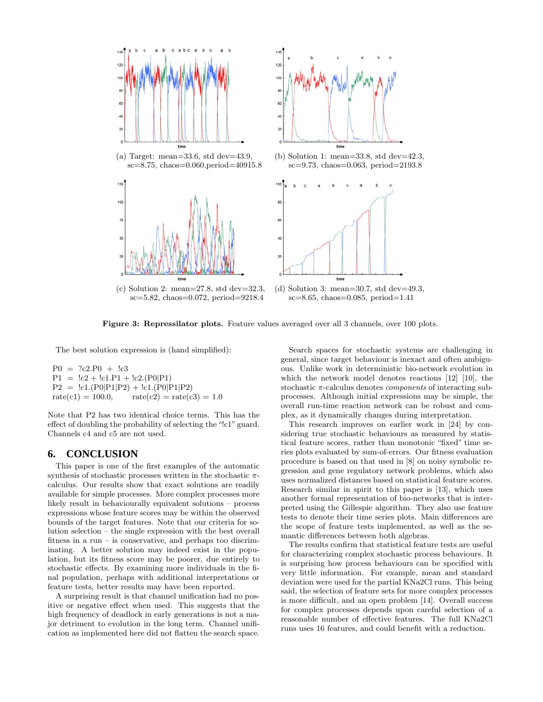

**Figure 3: Repressilator plots.** Feature values averaged over all 3 channels, over 100 plots.

The best solution expression is (hand simplified):

 $P0 = ?c2.P0 + !c3$  $P1 = \text{lc2} + \text{lc1.P1} + \text{lc2}. (P0|P1)$  $P2 = \text{lcl.}(P0|P1|P2) + \text{lcl.}(P0|P1|P2)$ <br>rate(c1) = 100.0, rate(c2) = rate(c  $rate(c2) = rate(c3) = 1.0$ 

Note that P2 has two identical choice terms. This has the effect of doubling the probability of selecting the "!c1" guard. Channels c4 and c5 are not used.

# **6. CONCLUSION**

This paper is one of the first examples of the automatic synthesis of stochastic processes written in the stochastic  $\pi$ calculus. Our results show that exact solutions are readily available for simple processes. More complex processes more likely result in behaviourally equivalent solutions – process expressions whose feature scores may be within the observed bounds of the target features. Note that our criteria for solution selection – the single expression with the best overall fitness in a run – is conservative, and perhaps too discriminating. A better solution may indeed exist in the population, but its fitness score may be poorer, due entirely to stochastic effects. By examining more individuals in the final population, perhaps with additional interpretations or feature tests, better results may have been reported.

A surprising result is that channel unification had no positive or negative effect when used. This suggests that the high frequency of deadlock in early generations is not a major detriment to evolution in the long term. Channel unification as implemented here did not flatten the search space.

Search spaces for stochastic systems are challenging in general, since target behaviour is inexact and often ambiguous. Unlike work in deterministic bio-network evolution in which the network model denotes reactions [12] [10], the stochastic π-calculus denotes *components* of interacting subprocesses. Although initial expressions may be simple, the overall run-time reaction network can be robust and complex, as it dynamically changes during interpretation.

This research improves on earlier work in [24] by considering true stochastic behaviours as measured by statistical feature scores, rather than monotonic "fixed" time series plots evaluated by sum-of-errors. Our fitness evaluation procedure is based on that used in [8] on noisy symbolic regression and gene regulatory network problems, which also uses normalized distances based on statistical feature scores. Research similar in spirit to this paper is [13], which uses another formal representation of bio-networks that is interpreted using the Gillespie algorithm. They also use feature tests to denote their time series plots. Main differences are the scope of feature tests implemented, as well as the semantic differences between both algebras.

The results confirm that statistical feature tests are useful for characterizing complex stochastic process behaviours. It is surprising how process behaviours can be specified with very little information. For example, mean and standard deviation were used for the partial KNa2Cl runs. This being said, the selection of feature sets for more complex processes is more difficult, and an open problem [14]. Overall success for complex processes depends upon careful selection of a reasonable number of effective features. The full KNa2Cl runs uses 16 features, and could benefit with a reduction.